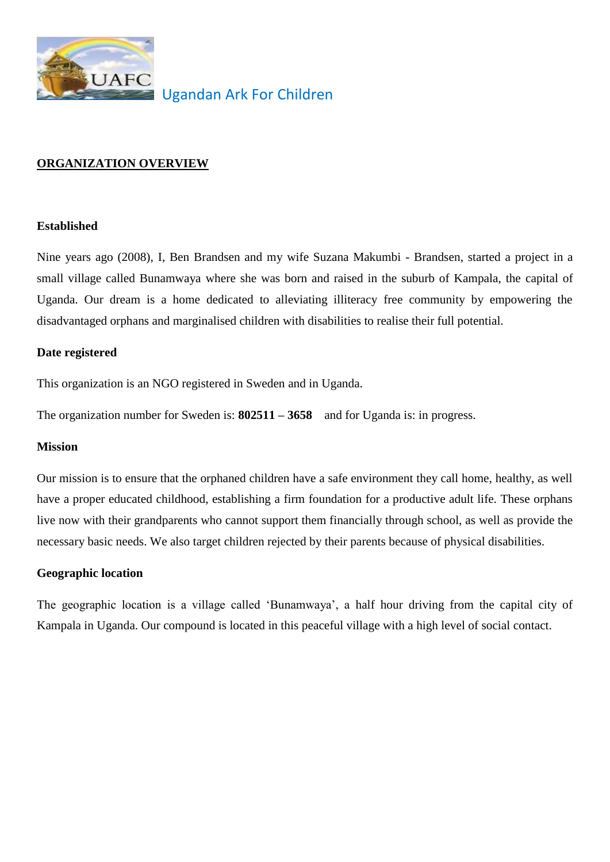

Ugandan Ark For Children

# **ORGANIZATION OVERVIEW**

## **Established**

Nine years ago (2008), I, Ben Brandsen and my wife Suzana Makumbi - Brandsen, started a project in a small village called Bunamwaya where she was born and raised in the suburb of Kampala, the capital of Uganda. Our dream is a home dedicated to alleviating illiteracy free community by empowering the disadvantaged orphans and marginalised children with disabilities to realise their full potential.

## **Date registered**

This organization is an NGO registered in Sweden and in Uganda.

The organization number for Sweden is: **802511 – 3658** and for Uganda is: in progress.

## **Mission**

Our mission is to ensure that the orphaned children have a safe environment they call home, healthy, as well have a proper educated childhood, establishing a firm foundation for a productive adult life. These orphans live now with their grandparents who cannot support them financially through school, as well as provide the necessary basic needs. We also target children rejected by their parents because of physical disabilities.

# **Geographic location**

The geographic location is a village called 'Bunamwaya', a half hour driving from the capital city of Kampala in Uganda. Our compound is located in this peaceful village with a high level of social contact.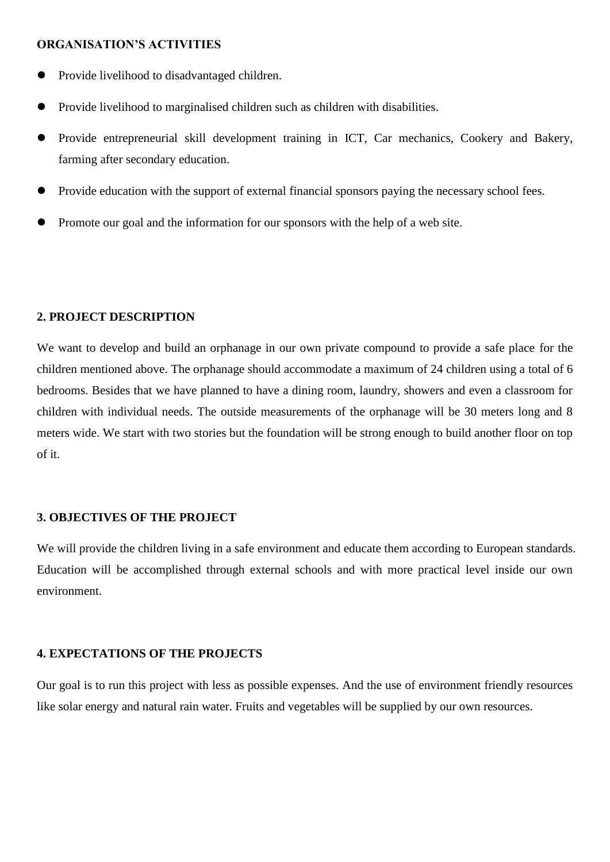### **ORGANISATION'S ACTIVITIES**

- Provide livelihood to disadvantaged children.
- Provide livelihood to marginalised children such as children with disabilities.
- Provide entrepreneurial skill development training in ICT, Car mechanics, Cookery and Bakery, farming after secondary education.
- Provide education with the support of external financial sponsors paying the necessary school fees.
- Promote our goal and the information for our sponsors with the help of a web site.

#### **2. PROJECT DESCRIPTION**

We want to develop and build an orphanage in our own private compound to provide a safe place for the children mentioned above. The orphanage should accommodate a maximum of 24 children using a total of 6 bedrooms. Besides that we have planned to have a dining room, laundry, showers and even a classroom for children with individual needs. The outside measurements of the orphanage will be 30 meters long and 8 meters wide. We start with two stories but the foundation will be strong enough to build another floor on top of it.

#### **3. OBJECTIVES OF THE PROJECT**

We will provide the children living in a safe environment and educate them according to European standards. Education will be accomplished through external schools and with more practical level inside our own environment.

#### **4. EXPECTATIONS OF THE PROJECTS**

Our goal is to run this project with less as possible expenses. And the use of environment friendly resources like solar energy and natural rain water. Fruits and vegetables will be supplied by our own resources.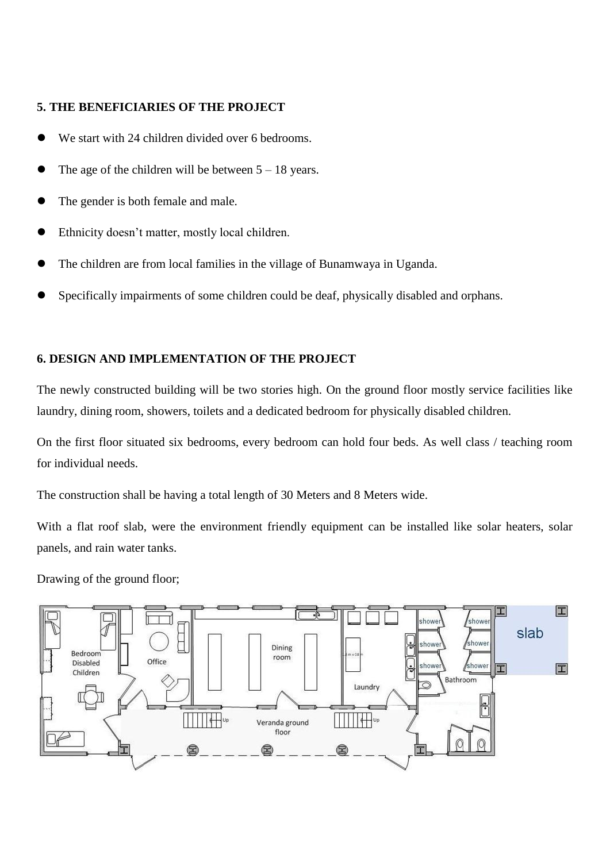# **5. THE BENEFICIARIES OF THE PROJECT**

- We start with 24 children divided over 6 bedrooms.
- The age of the children will be between  $5 18$  years.
- The gender is both female and male.
- Ethnicity doesn't matter, mostly local children.
- The children are from local families in the village of Bunamwaya in Uganda.
- Specifically impairments of some children could be deaf, physically disabled and orphans.

## **6. DESIGN AND IMPLEMENTATION OF THE PROJECT**

The newly constructed building will be two stories high. On the ground floor mostly service facilities like laundry, dining room, showers, toilets and a dedicated bedroom for physically disabled children.

On the first floor situated six bedrooms, every bedroom can hold four beds. As well class / teaching room for individual needs.

The construction shall be having a total length of 30 Meters and 8 Meters wide.

With a flat roof slab, were the environment friendly equipment can be installed like solar heaters, solar panels, and rain water tanks.

Drawing of the ground floor;